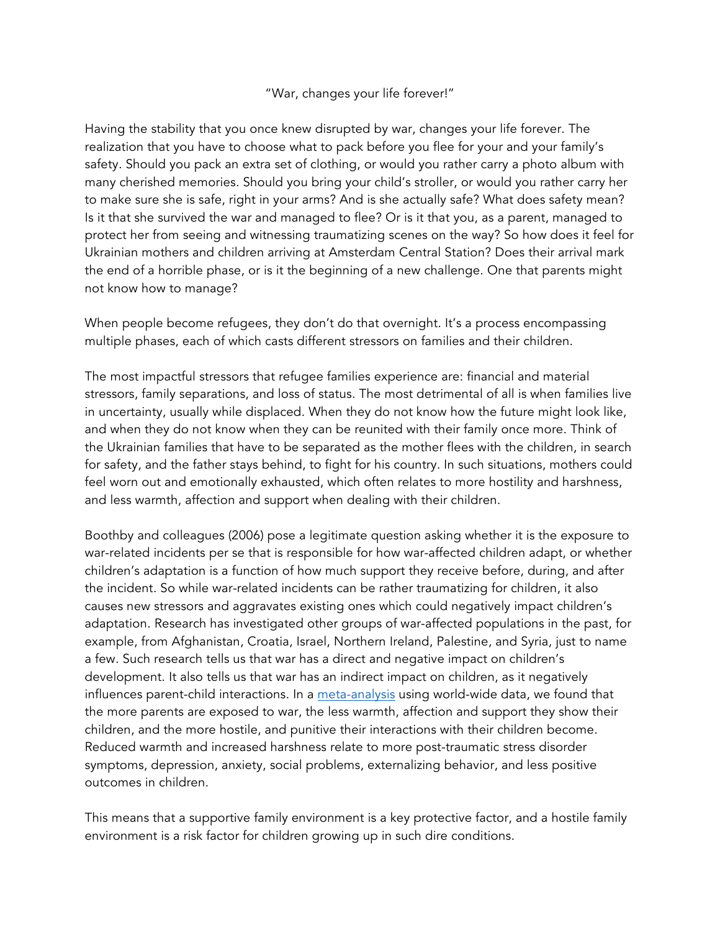"War, changes your life forever!"

Having the stability that you once knew disrupted by war, changes your life forever. The realization that you have to choose what to pack before you flee for your and your family's safety. Should you pack an extra set of clothing, or would you rather carry a photo album with many cherished memories. Should you bring your child's stroller, or would you rather carry her to make sure she is safe, right in your arms? And is she actually safe? What does safety mean? Is it that she survived the war and managed to flee? Or is it that you, as a parent, managed to protect her from seeing and witnessing traumatizing scenes on the way? So how does it feel for Ukrainian mothers and children arriving at Amsterdam Central Station? Does their arrival mark the end of a horrible phase, or is it the beginning of a new challenge. One that parents might not know how to manage?

When people become refugees, they don't do that overnight. It's a process encompassing multiple phases, each of which casts different stressors on families and their children.

The most impactful stressors that refugee families experience are: financial and material stressors, family separations, and loss of status. The most detrimental of all is when families live in uncertainty, usually while displaced. When they do not know how the future might look like, and when they do not know when they can be reunited with their family once more. Think of the Ukrainian families that have to be separated as the mother flees with the children, in search for safety, and the father stays behind, to fight for his country. In such situations, mothers could feel worn out and emotionally exhausted, which often relates to more hostility and harshness, and less warmth, affection and support when dealing with their children.

Boothby and colleagues (2006) pose a legitimate question asking whether it is the exposure to war-related incidents per se that is responsible for how war-affected children adapt, or whether children's adaptation is a function of how much support they receive before, during, and after the incident. So while war-related incidents can be rather traumatizing for children, it also causes new stressors and aggravates existing ones which could negatively impact children's adaptation. Research has investigated other groups of war-affected populations in the past, for example, from Afghanistan, Croatia, Israel, Northern Ireland, Palestine, and Syria, just to name a few. Such research tells us that war has a direct and negative impact on children's development. It also tells us that war has an indirect impact on children, as it negatively influences parent-child interactions. In a meta-analysis using world-wide data, we found that the more parents are exposed to war, the less warmth, affection and support they show their children, and the more hostile, and punitive their interactions with their children become. Reduced warmth and increased harshness relate to more post-traumatic stress disorder symptoms, depression, anxiety, social problems, externalizing behavior, and less positive outcomes in children.

This means that a supportive family environment is a key protective factor, and a hostile family environment is a risk factor for children growing up in such dire conditions.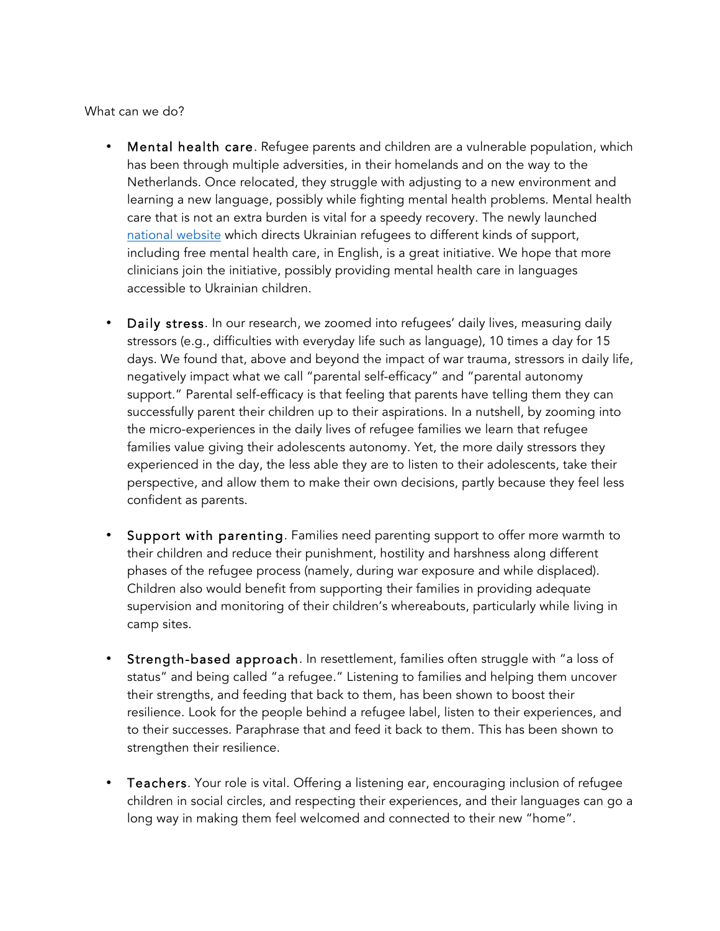What can we do?

- Mental health care. Refugee parents and children are a vulnerable population, which has been through multiple adversities, in their homelands and on the way to the Netherlands. Once relocated, they struggle with adjusting to a new environment and learning a new language, possibly while fighting mental health problems. Mental health care that is not an extra burden is vital for a speedy recovery. The newly launched national website which directs Ukrainian refugees to different kinds of support, including free mental health care, in English, is a great initiative. We hope that more clinicians join the initiative, possibly providing mental health care in languages accessible to Ukrainian children.
- Daily stress. In our research, we zoomed into refugees' daily lives, measuring daily stressors (e.g., difficulties with everyday life such as language), 10 times a day for 15 days. We found that, above and beyond the impact of war trauma, stressors in daily life, negatively impact what we call "parental self-efficacy" and "parental autonomy support." Parental self-efficacy is that feeling that parents have telling them they can successfully parent their children up to their aspirations. In a nutshell, by zooming into the micro-experiences in the daily lives of refugee families we learn that refugee families value giving their adolescents autonomy. Yet, the more daily stressors they experienced in the day, the less able they are to listen to their adolescents, take their perspective, and allow them to make their own decisions, partly because they feel less confident as parents.
- Support with parenting. Families need parenting support to offer more warmth to their children and reduce their punishment, hostility and harshness along different phases of the refugee process (namely, during war exposure and while displaced). Children also would benefit from supporting their families in providing adequate supervision and monitoring of their children's whereabouts, particularly while living in camp sites.
- Strength-based approach. In resettlement, families often struggle with "a loss of status" and being called "a refugee." Listening to families and helping them uncover their strengths, and feeding that back to them, has been shown to boost their resilience. Look for the people behind a refugee label, listen to their experiences, and to their successes. Paraphrase that and feed it back to them. This has been shown to strengthen their resilience.
- Teachers. Your role is vital. Offering a listening ear, encouraging inclusion of refugee children in social circles, and respecting their experiences, and their languages can go a long way in making them feel welcomed and connected to their new "home".